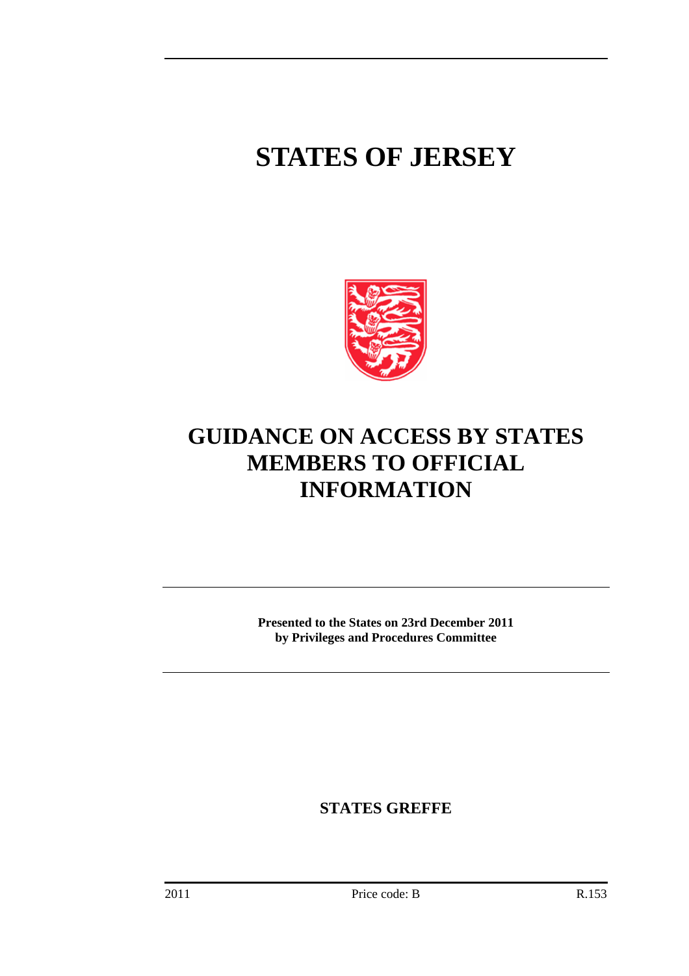# **STATES OF JERSEY**



# **GUIDANCE ON ACCESS BY STATES MEMBERS TO OFFICIAL INFORMATION**

**Presented to the States on 23rd December 2011 by Privileges and Procedures Committee** 

**STATES GREFFE**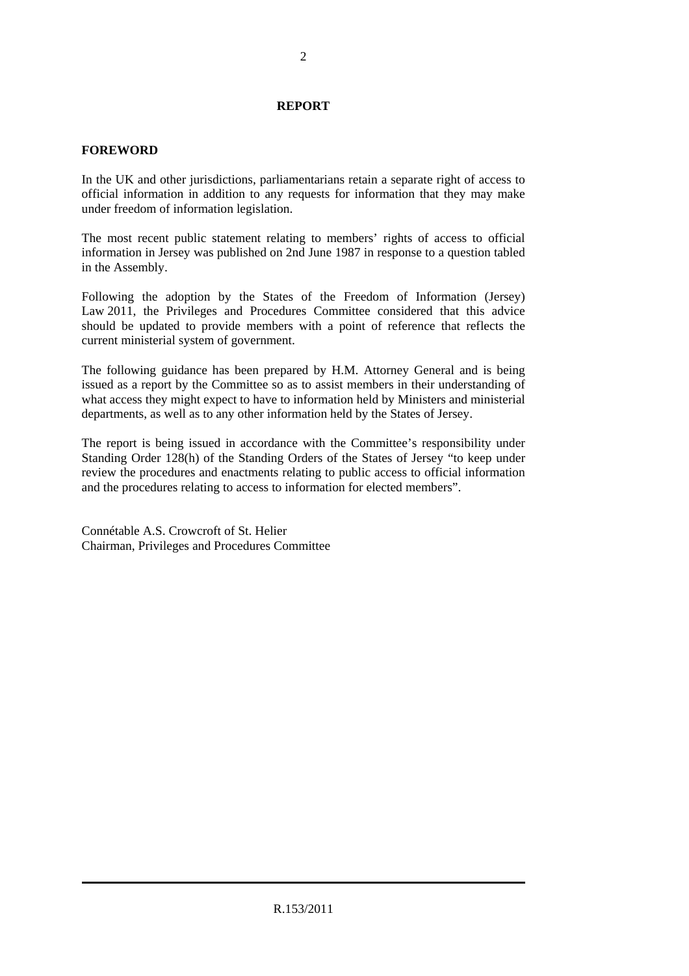#### **REPORT**

#### **FOREWORD**

In the UK and other jurisdictions, parliamentarians retain a separate right of access to official information in addition to any requests for information that they may make under freedom of information legislation.

The most recent public statement relating to members' rights of access to official information in Jersey was published on 2nd June 1987 in response to a question tabled in the Assembly.

Following the adoption by the States of the Freedom of Information (Jersey) Law 2011, the Privileges and Procedures Committee considered that this advice should be updated to provide members with a point of reference that reflects the current ministerial system of government.

The following guidance has been prepared by H.M. Attorney General and is being issued as a report by the Committee so as to assist members in their understanding of what access they might expect to have to information held by Ministers and ministerial departments, as well as to any other information held by the States of Jersey.

The report is being issued in accordance with the Committee's responsibility under Standing Order 128(h) of the Standing Orders of the States of Jersey "to keep under review the procedures and enactments relating to public access to official information and the procedures relating to access to information for elected members".

Connétable A.S. Crowcroft of St. Helier Chairman, Privileges and Procedures Committee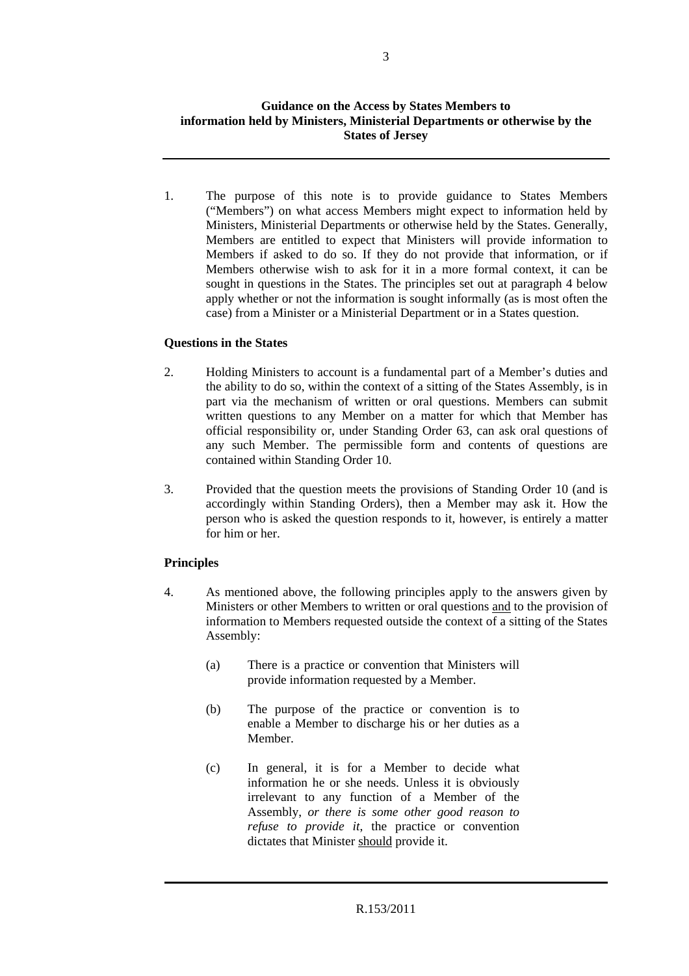1. The purpose of this note is to provide guidance to States Members ("Members") on what access Members might expect to information held by Ministers, Ministerial Departments or otherwise held by the States. Generally, Members are entitled to expect that Ministers will provide information to Members if asked to do so. If they do not provide that information, or if Members otherwise wish to ask for it in a more formal context, it can be sought in questions in the States. The principles set out at paragraph 4 below apply whether or not the information is sought informally (as is most often the case) from a Minister or a Ministerial Department or in a States question.

## **Questions in the States**

- 2. Holding Ministers to account is a fundamental part of a Member's duties and the ability to do so, within the context of a sitting of the States Assembly, is in part via the mechanism of written or oral questions. Members can submit written questions to any Member on a matter for which that Member has official responsibility or, under Standing Order 63, can ask oral questions of any such Member. The permissible form and contents of questions are contained within Standing Order 10.
- 3. Provided that the question meets the provisions of Standing Order 10 (and is accordingly within Standing Orders), then a Member may ask it. How the person who is asked the question responds to it, however, is entirely a matter for him or her.

## **Principles**

- 4. As mentioned above, the following principles apply to the answers given by Ministers or other Members to written or oral questions and to the provision of information to Members requested outside the context of a sitting of the States Assembly:
	- (a) There is a practice or convention that Ministers will provide information requested by a Member.
	- (b) The purpose of the practice or convention is to enable a Member to discharge his or her duties as a Member.
	- (c) In general, it is for a Member to decide what information he or she needs. Unless it is obviously irrelevant to any function of a Member of the Assembly, *or there is some other good reason to refuse to provide it*, the practice or convention dictates that Minister should provide it.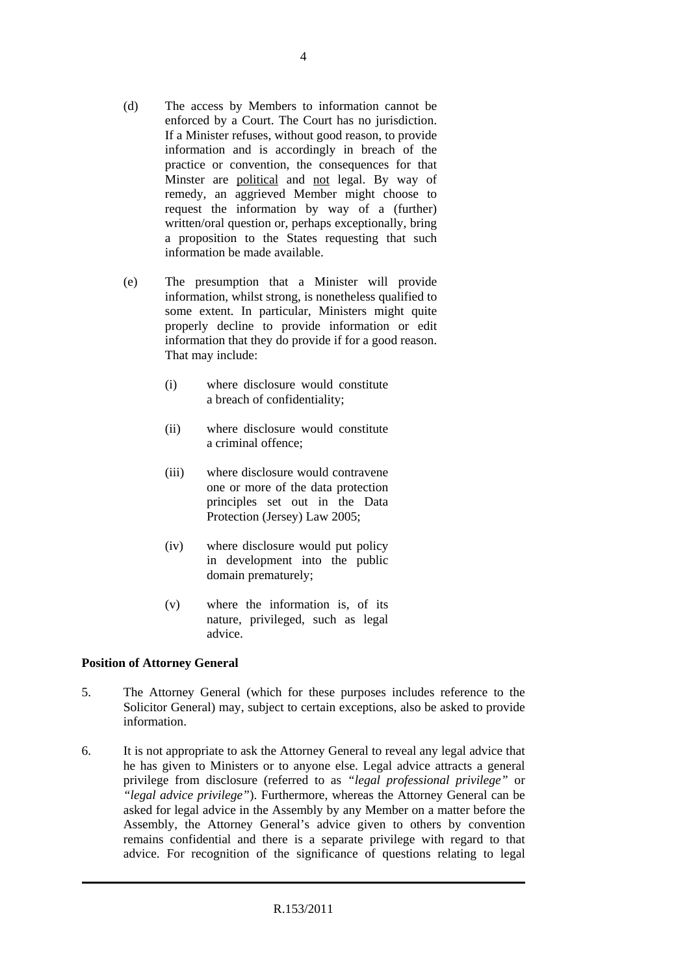- (d) The access by Members to information cannot be enforced by a Court. The Court has no jurisdiction. If a Minister refuses, without good reason, to provide information and is accordingly in breach of the practice or convention, the consequences for that Minster are political and not legal. By way of remedy, an aggrieved Member might choose to request the information by way of a (further) written/oral question or, perhaps exceptionally, bring a proposition to the States requesting that such information be made available.
- (e) The presumption that a Minister will provide information, whilst strong, is nonetheless qualified to some extent. In particular, Ministers might quite properly decline to provide information or edit information that they do provide if for a good reason. That may include:
	- (i) where disclosure would constitute a breach of confidentiality;
	- (ii) where disclosure would constitute a criminal offence;
	- (iii) where disclosure would contravene one or more of the data protection principles set out in the Data Protection (Jersey) Law 2005;
	- (iv) where disclosure would put policy in development into the public domain prematurely;
	- (v) where the information is, of its nature, privileged, such as legal advice.

## **Position of Attorney General**

- 5. The Attorney General (which for these purposes includes reference to the Solicitor General) may, subject to certain exceptions, also be asked to provide information.
- 6. It is not appropriate to ask the Attorney General to reveal any legal advice that he has given to Ministers or to anyone else. Legal advice attracts a general privilege from disclosure (referred to as *"legal professional privilege"* or *"legal advice privilege"*). Furthermore, whereas the Attorney General can be asked for legal advice in the Assembly by any Member on a matter before the Assembly, the Attorney General's advice given to others by convention remains confidential and there is a separate privilege with regard to that advice. For recognition of the significance of questions relating to legal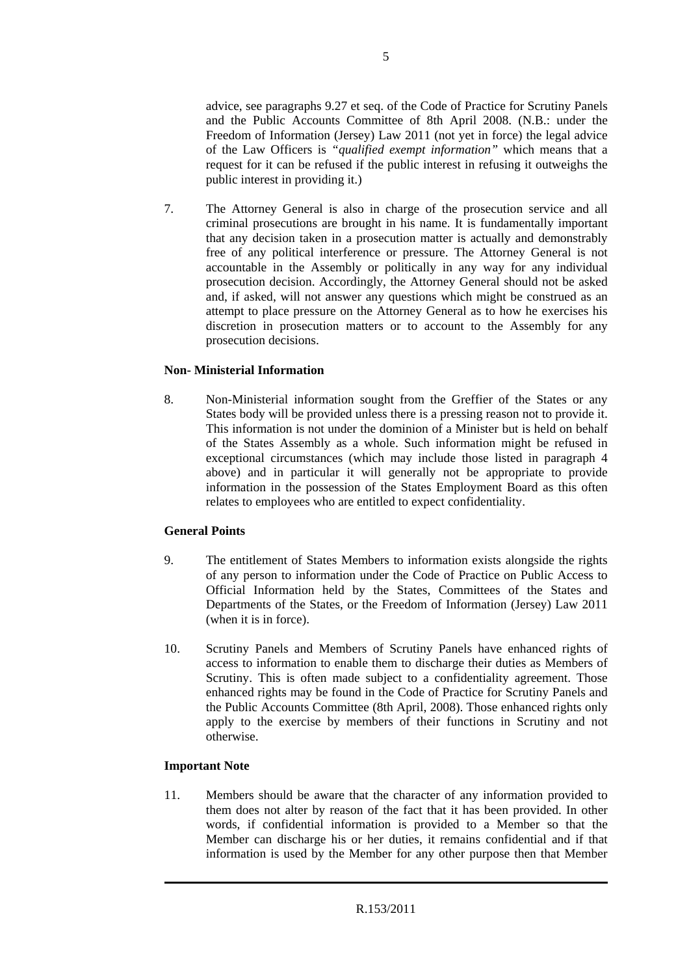advice, see paragraphs 9.27 et seq. of the Code of Practice for Scrutiny Panels and the Public Accounts Committee of 8th April 2008. (N.B.: under the Freedom of Information (Jersey) Law 2011 (not yet in force) the legal advice of the Law Officers is *"qualified exempt information"* which means that a request for it can be refused if the public interest in refusing it outweighs the public interest in providing it.)

7. The Attorney General is also in charge of the prosecution service and all criminal prosecutions are brought in his name. It is fundamentally important that any decision taken in a prosecution matter is actually and demonstrably free of any political interference or pressure. The Attorney General is not accountable in the Assembly or politically in any way for any individual prosecution decision. Accordingly, the Attorney General should not be asked and, if asked, will not answer any questions which might be construed as an attempt to place pressure on the Attorney General as to how he exercises his discretion in prosecution matters or to account to the Assembly for any prosecution decisions.

## **Non- Ministerial Information**

8. Non-Ministerial information sought from the Greffier of the States or any States body will be provided unless there is a pressing reason not to provide it. This information is not under the dominion of a Minister but is held on behalf of the States Assembly as a whole. Such information might be refused in exceptional circumstances (which may include those listed in paragraph 4 above) and in particular it will generally not be appropriate to provide information in the possession of the States Employment Board as this often relates to employees who are entitled to expect confidentiality.

## **General Points**

- 9. The entitlement of States Members to information exists alongside the rights of any person to information under the Code of Practice on Public Access to Official Information held by the States, Committees of the States and Departments of the States, or the Freedom of Information (Jersey) Law 2011 (when it is in force).
- 10. Scrutiny Panels and Members of Scrutiny Panels have enhanced rights of access to information to enable them to discharge their duties as Members of Scrutiny. This is often made subject to a confidentiality agreement. Those enhanced rights may be found in the Code of Practice for Scrutiny Panels and the Public Accounts Committee (8th April, 2008). Those enhanced rights only apply to the exercise by members of their functions in Scrutiny and not otherwise.

## **Important Note**

11. Members should be aware that the character of any information provided to them does not alter by reason of the fact that it has been provided. In other words, if confidential information is provided to a Member so that the Member can discharge his or her duties, it remains confidential and if that information is used by the Member for any other purpose then that Member